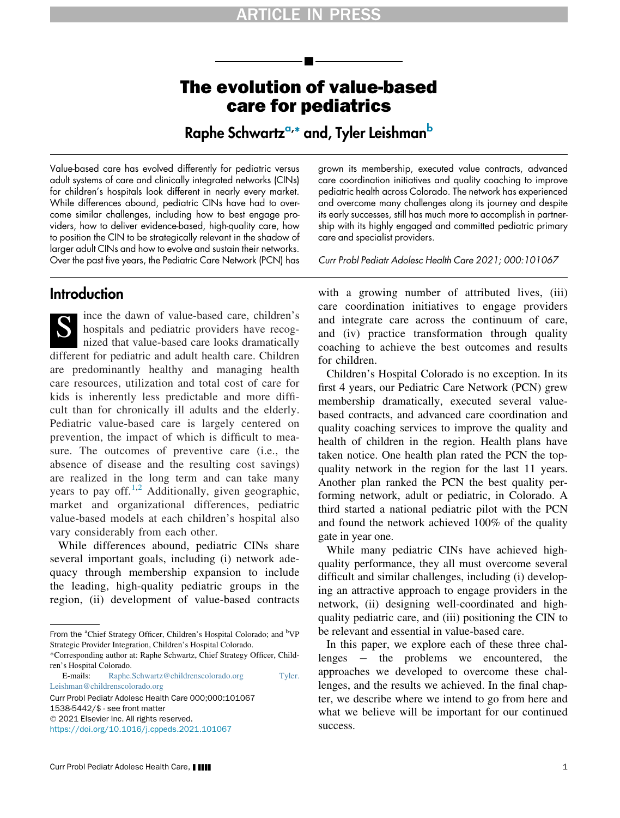#### **TICLE IN PRES**

# The evolution of value-based care for pediatrics

Raphe Schwartz<sup>a,</sup>[\\*](#page-0-0) and, Tyler Leishman<sup>b</sup>

Value-based care has evolved differently for pediatric versus adult systems of care and clinically integrated networks (CINs) for children's hospitals look different in nearly every market. While differences abound, pediatric CINs have had to overcome similar challenges, including how to best engage providers, how to deliver evidence-based, high-quality care, how to position the CIN to be strategically relevant in the shadow of larger adult CINs and how to evolve and sustain their networks. Over the past five years, the Pediatric Care Network (PCN) has

grown its membership, executed value contracts, advanced care coordination initiatives and quality coaching to improve pediatric health across Colorado. The network has experienced and overcome many challenges along its journey and despite its early successes, still has much more to accomplish in partnership with its highly engaged and committed pediatric primary care and specialist providers.

Curr Probl Pediatr Adolesc Health Care 2021; 000:101067

### **Introduction**

S<br>S<br>Ince the dawn of value-based care, children's<br>hospitals and pediatric providers have recog-<br>nized that value-based care looks dramatically hospitals and pediatric providers have recognized that value-based care looks dramatically different for pediatric and adult health care. Children are predominantly healthy and managing health care resources, utilization and total cost of care for kids is inherently less predictable and more difficult than for chronically ill adults and the elderly. Pediatric value-based care is largely centered on prevention, the impact of which is difficult to measure. The outcomes of preventive care (i.e., the absence of disease and the resulting cost savings) are realized in the long term and can take many years to pay off. $1,2$  $1,2$  Additionally, given geographic, market and organizational differences, pediatric value-based models at each children's hospital also vary considerably from each other.

While differences abound, pediatric CINs share several important goals, including (i) network adequacy through membership expansion to include the leading, high-quality pediatric groups in the region, (ii) development of value-based contracts

From the <sup>a</sup>Chief Strategy Officer, Children's Hospital Colorado; and <sup>b</sup>VP Strategic Provider Integration, Children's Hospital Colorado.

<span id="page-0-0"></span>\*Corresponding author at: Raphe Schwartz, Chief Strategy Officer, Children's Hospital Colorado.

E-mails: [Raphe.Schwartz@childrenscolorado.org](mailto:Raphe.Schwartz@childrenscolorado.org) [Tyler.](mailto:Tyler.Leishman@childrenscolorado.org) [Leishman@childrenscolorado.org](mailto:Tyler.Leishman@childrenscolorado.org)

Curr Probl Pediatr Adolesc Health Care 000;000:101067 1538-5442/\$ - see front matter 2021 Elsevier Inc. All rights reserved.

<https://doi.org/10.1016/j.cppeds.2021.101067>

with a growing number of attributed lives, (iii) care coordination initiatives to engage providers and integrate care across the continuum of care, and (iv) practice transformation through quality coaching to achieve the best outcomes and results for children.

Children's Hospital Colorado is no exception. In its first 4 years, our Pediatric Care Network (PCN) grew membership dramatically, executed several valuebased contracts, and advanced care coordination and quality coaching services to improve the quality and health of children in the region. Health plans have taken notice. One health plan rated the PCN the topquality network in the region for the last 11 years. Another plan ranked the PCN the best quality performing network, adult or pediatric, in Colorado. A third started a national pediatric pilot with the PCN and found the network achieved 100% of the quality gate in year one.

While many pediatric CINs have achieved highquality performance, they all must overcome several difficult and similar challenges, including (i) developing an attractive approach to engage providers in the network, (ii) designing well-coordinated and highquality pediatric care, and (iii) positioning the CIN to be relevant and essential in value-based care.

In this paper, we explore each of these three challenges  $-$  the problems we encountered, the approaches we developed to overcome these challenges, and the results we achieved. In the final chapter, we describe where we intend to go from here and what we believe will be important for our continued success.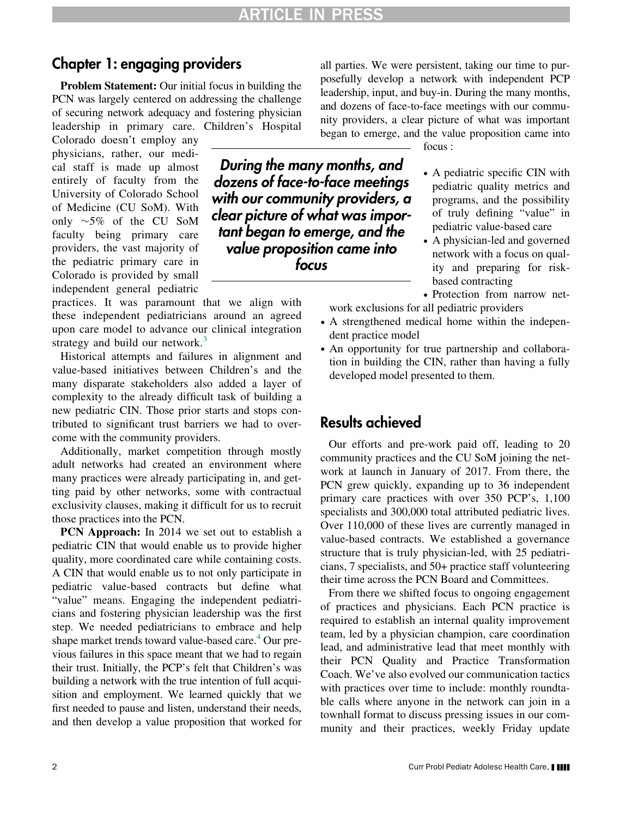During the many months, and dozens of face-to-face meetings with our community providers, a clear picture of what was important began to emerge, and the value proposition came into focus

# Chapter 1: engaging providers

Problem Statement: Our initial focus in building the PCN was largely centered on addressing the challenge of securing network adequacy and fostering physician leadership in primary care. Children's Hospital

Colorado doesn't employ any physicians, rather, our medical staff is made up almost entirely of faculty from the University of Colorado School of Medicine (CU SoM). With only  $\sim$ 5% of the CU SoM faculty being primary care providers, the vast majority of the pediatric primary care in Colorado is provided by small independent general pediatric

practices. It was paramount that we align with these independent pediatricians around an agreed upon care model to advance our clinical integration strategy and build our network. $3$ 

Historical attempts and failures in alignment and value-based initiatives between Children's and the many disparate stakeholders also added a layer of complexity to the already difficult task of building a new pediatric CIN. Those prior starts and stops contributed to significant trust barriers we had to overcome with the community providers.

Additionally, market competition through mostly adult networks had created an environment where many practices were already participating in, and getting paid by other networks, some with contractual exclusivity clauses, making it difficult for us to recruit those practices into the PCN.

PCN Approach: In 2014 we set out to establish a pediatric CIN that would enable us to provide higher quality, more coordinated care while containing costs. A CIN that would enable us to not only participate in pediatric value-based contracts but define what "value" means. Engaging the independent pediatricians and fostering physician leadership was the first step. We needed pediatricians to embrace and help shape market trends toward value-based care.<sup>[4](#page-6-3)</sup> Our previous failures in this space meant that we had to regain their trust. Initially, the PCP's felt that Children's was building a network with the true intention of full acquisition and employment. We learned quickly that we first needed to pause and listen, understand their needs, and then develop a value proposition that worked for all parties. We were persistent, taking our time to purposefully develop a network with independent PCP leadership, input, and buy-in. During the many months, and dozens of face-to-face meetings with our community providers, a clear picture of what was important began to emerge, and the value proposition came into

focus :

- A pediatric specific CIN with pediatric quality metrics and programs, and the possibility of truly defining "value" in pediatric value-based care
- A physician-led and governed network with a focus on quality and preparing for riskbased contracting

 Protection from narrow network exclusions for all pediatric providers

- A strengthened medical home within the independent practice model
- An opportunity for true partnership and collaboration in building the CIN, rather than having a fully developed model presented to them.

## Results achieved

Our efforts and pre-work paid off, leading to 20 community practices and the CU SoM joining the network at launch in January of 2017. From there, the PCN grew quickly, expanding up to 36 independent primary care practices with over 350 PCP's, 1,100 specialists and 300,000 total attributed pediatric lives. Over 110,000 of these lives are currently managed in value-based contracts. We established a governance structure that is truly physician-led, with 25 pediatricians, 7 specialists, and 50+ practice staff volunteering their time across the PCN Board and Committees.

From there we shifted focus to ongoing engagement of practices and physicians. Each PCN practice is required to establish an internal quality improvement team, led by a physician champion, care coordination lead, and administrative lead that meet monthly with their PCN Quality and Practice Transformation Coach. We've also evolved our communication tactics with practices over time to include: monthly roundtable calls where anyone in the network can join in a townhall format to discuss pressing issues in our community and their practices, weekly Friday update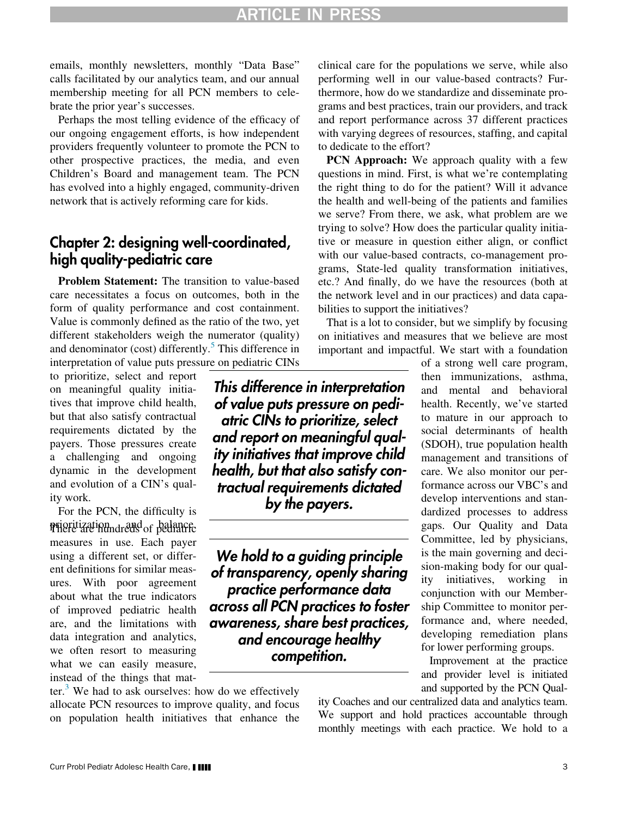## RTICLE IN PRES

emails, monthly newsletters, monthly "Data Base" calls facilitated by our analytics team, and our annual membership meeting for all PCN members to celebrate the prior year's successes.

Perhaps the most telling evidence of the efficacy of our ongoing engagement efforts, is how independent providers frequently volunteer to promote the PCN to other prospective practices, the media, and even Children's Board and management team. The PCN has evolved into a highly engaged, community-driven network that is actively reforming care for kids.

## Chapter 2: designing well-coordinated, high quality-pediatric care

Problem Statement: The transition to value-based care necessitates a focus on outcomes, both in the form of quality performance and cost containment. Value is commonly defined as the ratio of the two, yet different stakeholders weigh the numerator (quality) and denominator (cost) differently. $5$  This difference in interpretation of value puts pressure on pediatric CINs

to prioritize, select and report on meaningful quality initiatives that improve child health, but that also satisfy contractual requirements dictated by the payers. Those pressures create a challenging and ongoing dynamic in the development and evolution of a CIN's quality work.

For the PCN, the difficulty is prioritization and of belance. measures in use. Each payer using a different set, or different definitions for similar measures. With poor agreement about what the true indicators of improved pediatric health are, and the limitations with data integration and analytics, we often resort to measuring what we can easily measure, instead of the things that mat-

ter. $3$  We had to ask ourselves: how do we effectively allocate PCN resources to improve quality, and focus on population health initiatives that enhance the clinical care for the populations we serve, while also performing well in our value-based contracts? Furthermore, how do we standardize and disseminate programs and best practices, train our providers, and track and report performance across 37 different practices with varying degrees of resources, staffing, and capital to dedicate to the effort?

**PCN Approach:** We approach quality with a few questions in mind. First, is what we're contemplating the right thing to do for the patient? Will it advance the health and well-being of the patients and families we serve? From there, we ask, what problem are we trying to solve? How does the particular quality initiative or measure in question either align, or conflict with our value-based contracts, co-management programs, State-led quality transformation initiatives, etc.? And finally, do we have the resources (both at the network level and in our practices) and data capabilities to support the initiatives?

That is a lot to consider, but we simplify by focusing on initiatives and measures that we believe are most important and impactful. We start with a foundation

This difference in interpretation of value puts pressure on pediatric CINs to prioritize, select and report on meaningful quality initiatives that improve child health, but that also satisfy contractual requirements dictated by the payers.

We hold to a guiding principle of transparency, openly sharing practice performance data across all PCN practices to foster awareness, share best practices, and encourage healthy competition.

of a strong well care program, then immunizations, asthma, and mental and behavioral health. Recently, we've started to mature in our approach to social determinants of health (SDOH), true population health management and transitions of care. We also monitor our performance across our VBC's and develop interventions and standardized processes to address gaps. Our Quality and Data Committee, led by physicians, is the main governing and decision-making body for our quality initiatives, working in conjunction with our Membership Committee to monitor performance and, where needed, developing remediation plans for lower performing groups.

Improvement at the practice and provider level is initiated and supported by the PCN Qual-

ity Coaches and our centralized data and analytics team. We support and hold practices accountable through monthly meetings with each practice. We hold to a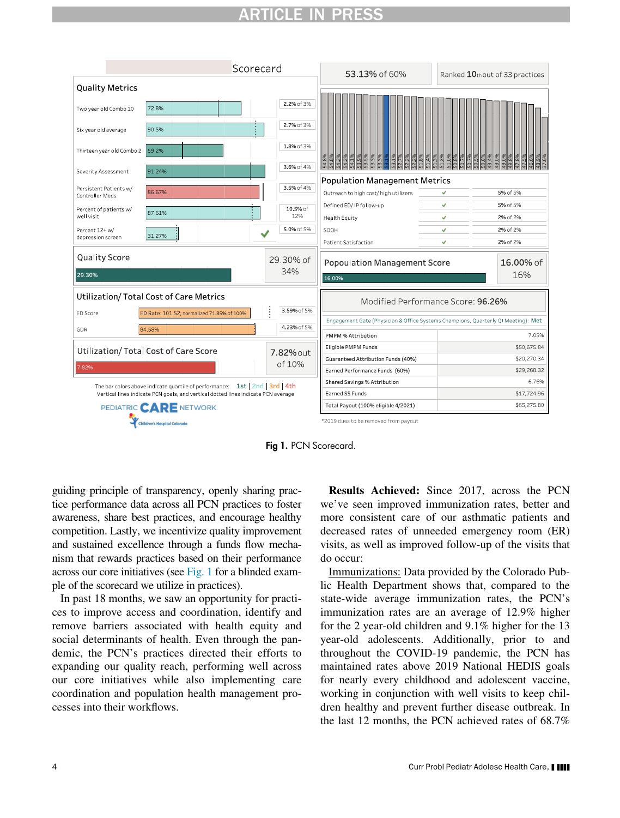## **ARTICLE IN PRES**

<span id="page-3-0"></span>

Fig 1. PCN Scorecard.

guiding principle of transparency, openly sharing practice performance data across all PCN practices to foster awareness, share best practices, and encourage healthy competition. Lastly, we incentivize quality improvement and sustained excellence through a funds flow mechanism that rewards practices based on their performance across our core initiatives (see [Fig. 1](#page-3-0) for a blinded example of the scorecard we utilize in practices).

In past 18 months, we saw an opportunity for practices to improve access and coordination, identify and remove barriers associated with health equity and social determinants of health. Even through the pandemic, the PCN's practices directed their efforts to expanding our quality reach, performing well across our core initiatives while also implementing care coordination and population health management processes into their workflows.

Results Achieved: Since 2017, across the PCN we've seen improved immunization rates, better and more consistent care of our asthmatic patients and decreased rates of unneeded emergency room (ER) visits, as well as improved follow-up of the visits that do occur:

Immunizations: Data provided by the Colorado Public Health Department shows that, compared to the state-wide average immunization rates, the PCN's immunization rates are an average of 12.9% higher for the 2 year-old children and 9.1% higher for the 13 year-old adolescents. Additionally, prior to and throughout the COVID-19 pandemic, the PCN has maintained rates above 2019 National HEDIS goals for nearly every childhood and adolescent vaccine, working in conjunction with well visits to keep children healthy and prevent further disease outbreak. In the last 12 months, the PCN achieved rates of 68.7%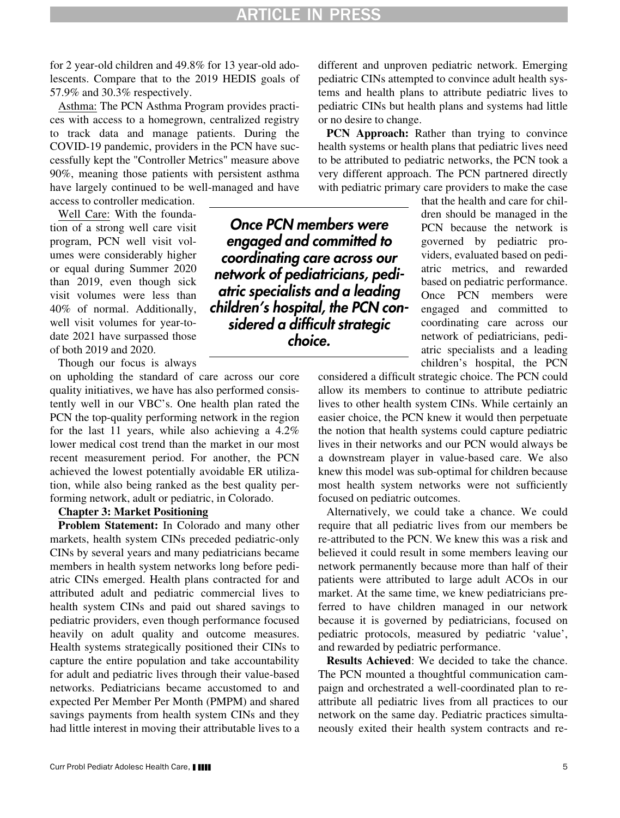for 2 year-old children and 49.8% for 13 year-old adolescents. Compare that to the 2019 HEDIS goals of 57.9% and 30.3% respectively.

Asthma: The PCN Asthma Program provides practices with access to a homegrown, centralized registry to track data and manage patients. During the COVID-19 pandemic, providers in the PCN have successfully kept the "Controller Metrics" measure above 90%, meaning those patients with persistent asthma have largely continued to be well-managed and have access to controller medication.

Well Care: With the foundation of a strong well care visit program, PCN well visit volumes were considerably higher or equal during Summer 2020 than 2019, even though sick visit volumes were less than 40% of normal. Additionally, well visit volumes for year-todate 2021 have surpassed those of both 2019 and 2020.

Though our focus is always

on upholding the standard of care across our core quality initiatives, we have has also performed consistently well in our VBC's. One health plan rated the PCN the top-quality performing network in the region for the last 11 years, while also achieving a 4.2% lower medical cost trend than the market in our most recent measurement period. For another, the PCN achieved the lowest potentially avoidable ER utilization, while also being ranked as the best quality performing network, adult or pediatric, in Colorado.

#### Chapter 3: Market Positioning

Problem Statement: In Colorado and many other markets, health system CINs preceded pediatric-only CINs by several years and many pediatricians became members in health system networks long before pediatric CINs emerged. Health plans contracted for and attributed adult and pediatric commercial lives to health system CINs and paid out shared savings to pediatric providers, even though performance focused heavily on adult quality and outcome measures. Health systems strategically positioned their CINs to capture the entire population and take accountability for adult and pediatric lives through their value-based networks. Pediatricians became accustomed to and expected Per Member Per Month (PMPM) and shared savings payments from health system CINs and they had little interest in moving their attributable lives to a different and unproven pediatric network. Emerging pediatric CINs attempted to convince adult health systems and health plans to attribute pediatric lives to pediatric CINs but health plans and systems had little or no desire to change.

PCN Approach: Rather than trying to convince health systems or health plans that pediatric lives need to be attributed to pediatric networks, the PCN took a very different approach. The PCN partnered directly with pediatric primary care providers to make the case

> that the health and care for children should be managed in the PCN because the network is governed by pediatric providers, evaluated based on pediatric metrics, and rewarded based on pediatric performance. Once PCN members were engaged and committed to coordinating care across our network of pediatricians, pediatric specialists and a leading children's hospital, the PCN

considered a difficult strategic choice. The PCN could allow its members to continue to attribute pediatric lives to other health system CINs. While certainly an easier choice, the PCN knew it would then perpetuate the notion that health systems could capture pediatric lives in their networks and our PCN would always be a downstream player in value-based care. We also knew this model was sub-optimal for children because most health system networks were not sufficiently focused on pediatric outcomes.

Alternatively, we could take a chance. We could require that all pediatric lives from our members be re-attributed to the PCN. We knew this was a risk and believed it could result in some members leaving our network permanently because more than half of their patients were attributed to large adult ACOs in our market. At the same time, we knew pediatricians preferred to have children managed in our network because it is governed by pediatricians, focused on pediatric protocols, measured by pediatric 'value', and rewarded by pediatric performance.

Results Achieved: We decided to take the chance. The PCN mounted a thoughtful communication campaign and orchestrated a well-coordinated plan to reattribute all pediatric lives from all practices to our network on the same day. Pediatric practices simultaneously exited their health system contracts and re-

Once PCN members were engaged and committed to coordinating care across our network of pediatricians, pediatric specialists and a leading children's hospital, the PCN considered a difficult strategic choice.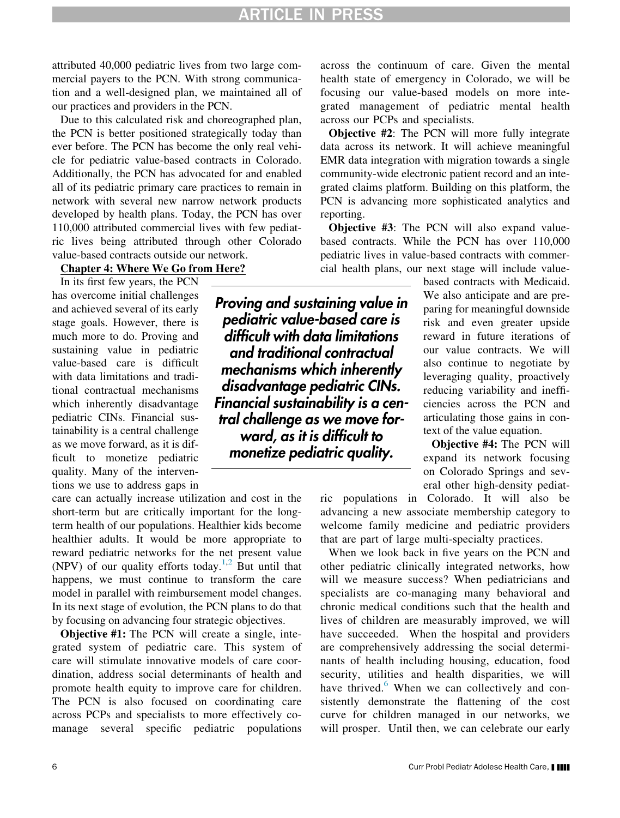attributed 40,000 pediatric lives from two large commercial payers to the PCN. With strong communication and a well-designed plan, we maintained all of our practices and providers in the PCN.

Due to this calculated risk and choreographed plan, the PCN is better positioned strategically today than ever before. The PCN has become the only real vehicle for pediatric value-based contracts in Colorado. Additionally, the PCN has advocated for and enabled all of its pediatric primary care practices to remain in network with several new narrow network products developed by health plans. Today, the PCN has over 110,000 attributed commercial lives with few pediatric lives being attributed through other Colorado value-based contracts outside our network.

#### Chapter 4: Where We Go from Here?

In its first few years, the PCN has overcome initial challenges and achieved several of its early stage goals. However, there is much more to do. Proving and sustaining value in pediatric value-based care is difficult with data limitations and traditional contractual mechanisms which inherently disadvantage pediatric CINs. Financial sustainability is a central challenge as we move forward, as it is difficult to monetize pediatric quality. Many of the interventions we use to address gaps in

care can actually increase utilization and cost in the short-term but are critically important for the longterm health of our populations. Healthier kids become healthier adults. It would be more appropriate to reward pediatric networks for the net present value (NPV) of our quality efforts today.<sup>1[,2](#page-6-1)</sup> But until that happens, we must continue to transform the care model in parallel with reimbursement model changes. In its next stage of evolution, the PCN plans to do that by focusing on advancing four strategic objectives.

Objective #1: The PCN will create a single, integrated system of pediatric care. This system of care will stimulate innovative models of care coordination, address social determinants of health and promote health equity to improve care for children. The PCN is also focused on coordinating care across PCPs and specialists to more effectively comanage several specific pediatric populations

Proving and sustaining value in pediatric value-based care is difficult with data limitations and traditional contractual mechanisms which inherently disadvantage pediatric CINs. Financial sustainability is a central challenge as we move forward, as it is difficult to monetize pediatric quality.

across the continuum of care. Given the mental health state of emergency in Colorado, we will be focusing our value-based models on more integrated management of pediatric mental health across our PCPs and specialists.

Objective #2: The PCN will more fully integrate data across its network. It will achieve meaningful EMR data integration with migration towards a single community-wide electronic patient record and an integrated claims platform. Building on this platform, the PCN is advancing more sophisticated analytics and reporting.

Objective #3: The PCN will also expand valuebased contracts. While the PCN has over 110,000 pediatric lives in value-based contracts with commercial health plans, our next stage will include value-

> based contracts with Medicaid. We also anticipate and are preparing for meaningful downside risk and even greater upside reward in future iterations of our value contracts. We will also continue to negotiate by leveraging quality, proactively reducing variability and inefficiencies across the PCN and articulating those gains in context of the value equation.

Objective #4: The PCN will expand its network focusing on Colorado Springs and several other high-density pediat-

ric populations in Colorado. It will also be advancing a new associate membership category to welcome family medicine and pediatric providers that are part of large multi-specialty practices.

When we look back in five years on the PCN and other pediatric clinically integrated networks, how will we measure success? When pediatricians and specialists are co-managing many behavioral and chronic medical conditions such that the health and lives of children are measurably improved, we will have succeeded. When the hospital and providers are comprehensively addressing the social determinants of health including housing, education, food security, utilities and health disparities, we will have thrived. $6$  When we can collectively and consistently demonstrate the flattening of the cost curve for children managed in our networks, we will prosper. Until then, we can celebrate our early